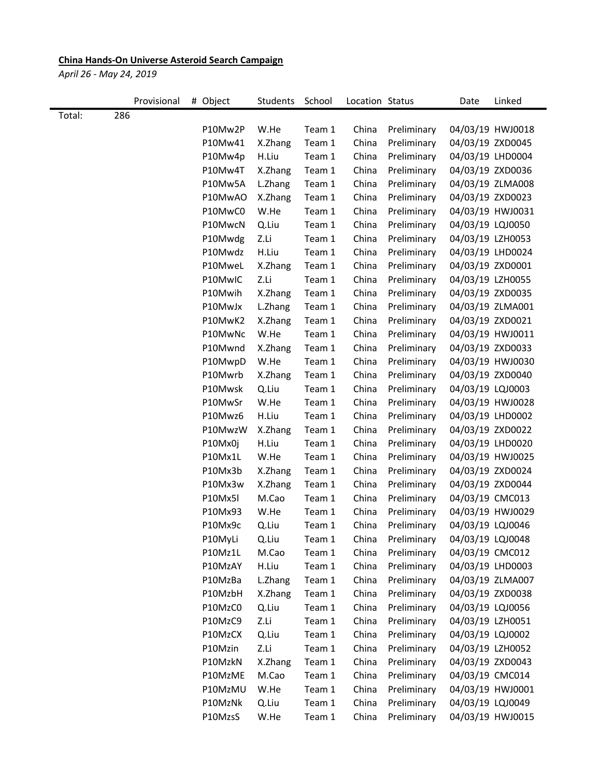## **China Hands-On Universe Asteroid Search Campaign**

*April 26 - May 24, 2019*

|        |     | Provisional | # Object | Students | School | Location Status |             | Date             | Linked           |
|--------|-----|-------------|----------|----------|--------|-----------------|-------------|------------------|------------------|
| Total: | 286 |             |          |          |        |                 |             |                  |                  |
|        |     |             | P10Mw2P  | W.He     | Team 1 | China           | Preliminary |                  | 04/03/19 HWJ0018 |
|        |     |             | P10Mw41  | X.Zhang  | Team 1 | China           | Preliminary | 04/03/19 ZXD0045 |                  |
|        |     |             | P10Mw4p  | H.Liu    | Team 1 | China           | Preliminary | 04/03/19 LHD0004 |                  |
|        |     |             | P10Mw4T  | X.Zhang  | Team 1 | China           | Preliminary | 04/03/19 ZXD0036 |                  |
|        |     |             | P10Mw5A  | L.Zhang  | Team 1 | China           | Preliminary |                  | 04/03/19 ZLMA008 |
|        |     |             | P10MwAO  | X.Zhang  | Team 1 | China           | Preliminary | 04/03/19 ZXD0023 |                  |
|        |     |             | P10MwC0  | W.He     | Team 1 | China           | Preliminary |                  | 04/03/19 HWJ0031 |
|        |     |             | P10MwcN  | Q.Liu    | Team 1 | China           | Preliminary | 04/03/19 LQJ0050 |                  |
|        |     |             | P10Mwdg  | Z.Li     | Team 1 | China           | Preliminary | 04/03/19 LZH0053 |                  |
|        |     |             | P10Mwdz  | H.Liu    | Team 1 | China           | Preliminary | 04/03/19 LHD0024 |                  |
|        |     |             | P10MweL  | X.Zhang  | Team 1 | China           | Preliminary | 04/03/19 ZXD0001 |                  |
|        |     |             | P10MwlC  | Z.Li     | Team 1 | China           | Preliminary | 04/03/19 LZH0055 |                  |
|        |     |             | P10Mwih  | X.Zhang  | Team 1 | China           | Preliminary | 04/03/19 ZXD0035 |                  |
|        |     |             | P10MwJx  | L.Zhang  | Team 1 | China           | Preliminary |                  | 04/03/19 ZLMA001 |
|        |     |             | P10MwK2  | X.Zhang  | Team 1 | China           | Preliminary | 04/03/19 ZXD0021 |                  |
|        |     |             | P10MwNc  | W.He     | Team 1 | China           | Preliminary |                  | 04/03/19 HWJ0011 |
|        |     |             | P10Mwnd  | X.Zhang  | Team 1 | China           | Preliminary | 04/03/19 ZXD0033 |                  |
|        |     |             | P10MwpD  | W.He     | Team 1 | China           | Preliminary |                  | 04/03/19 HWJ0030 |
|        |     |             | P10Mwrb  | X.Zhang  | Team 1 | China           | Preliminary | 04/03/19 ZXD0040 |                  |
|        |     |             | P10Mwsk  | Q.Liu    | Team 1 | China           | Preliminary | 04/03/19 LQJ0003 |                  |
|        |     |             | P10MwSr  | W.He     | Team 1 | China           | Preliminary |                  | 04/03/19 HWJ0028 |
|        |     |             | P10Mwz6  | H.Liu    | Team 1 | China           | Preliminary | 04/03/19 LHD0002 |                  |
|        |     |             | P10MwzW  | X.Zhang  | Team 1 | China           | Preliminary | 04/03/19 ZXD0022 |                  |
|        |     |             | P10Mx0j  | H.Liu    | Team 1 | China           | Preliminary | 04/03/19 LHD0020 |                  |
|        |     |             | P10Mx1L  | W.He     | Team 1 | China           | Preliminary |                  | 04/03/19 HWJ0025 |
|        |     |             | P10Mx3b  | X.Zhang  | Team 1 | China           | Preliminary | 04/03/19 ZXD0024 |                  |
|        |     |             | P10Mx3w  | X.Zhang  | Team 1 | China           | Preliminary | 04/03/19 ZXD0044 |                  |
|        |     |             | P10Mx5l  | M.Cao    | Team 1 | China           | Preliminary | 04/03/19 CMC013  |                  |
|        |     |             | P10Mx93  | W.He     | Team 1 | China           | Preliminary |                  | 04/03/19 HWJ0029 |
|        |     |             | P10Mx9c  | Q.Liu    | Team 1 | China           | Preliminary | 04/03/19 LQJ0046 |                  |
|        |     |             | P10MyLi  | Q.Liu    | Team 1 | China           | Preliminary | 04/03/19 LQJ0048 |                  |
|        |     |             | P10Mz1L  | M.Cao    | Team 1 | China           | Preliminary | 04/03/19 CMC012  |                  |
|        |     |             | P10MzAY  | H.Liu    | Team 1 | China           | Preliminary | 04/03/19 LHD0003 |                  |
|        |     |             | P10MzBa  | L.Zhang  | Team 1 | China           | Preliminary |                  | 04/03/19 ZLMA007 |
|        |     |             | P10MzbH  | X.Zhang  | Team 1 | China           | Preliminary | 04/03/19 ZXD0038 |                  |
|        |     |             | P10MzC0  | Q.Liu    | Team 1 | China           | Preliminary | 04/03/19 LQJ0056 |                  |
|        |     |             | P10MzC9  | Z.Li     | Team 1 | China           | Preliminary | 04/03/19 LZH0051 |                  |
|        |     |             | P10MzCX  | Q.Liu    | Team 1 | China           | Preliminary | 04/03/19 LQJ0002 |                  |
|        |     |             | P10Mzin  | Z.Li     | Team 1 | China           | Preliminary | 04/03/19 LZH0052 |                  |
|        |     |             | P10MzkN  | X.Zhang  | Team 1 | China           | Preliminary | 04/03/19 ZXD0043 |                  |
|        |     |             | P10MzME  | M.Cao    | Team 1 | China           | Preliminary | 04/03/19 CMC014  |                  |
|        |     |             | P10MzMU  | W.He     | Team 1 | China           | Preliminary |                  | 04/03/19 HWJ0001 |
|        |     |             | P10MzNk  | Q.Liu    | Team 1 | China           | Preliminary | 04/03/19 LQJ0049 |                  |
|        |     |             | P10MzsS  | W.He     | Team 1 | China           | Preliminary |                  | 04/03/19 HWJ0015 |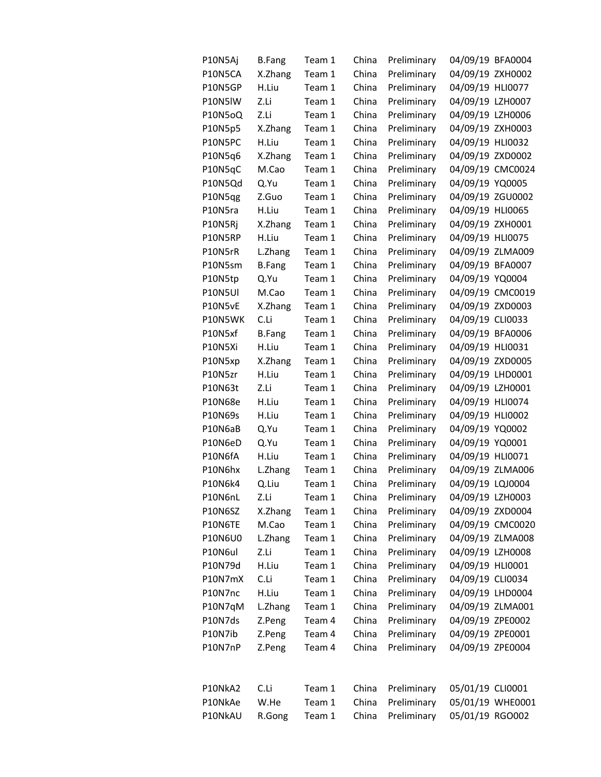| P10N5Aj        | <b>B.Fang</b> | Team 1 | China | Preliminary | 04/09/19 BFA0004 |                  |
|----------------|---------------|--------|-------|-------------|------------------|------------------|
| P10N5CA        | X.Zhang       | Team 1 | China | Preliminary | 04/09/19 ZXH0002 |                  |
| P10N5GP        | H.Liu         | Team 1 | China | Preliminary | 04/09/19 HLI0077 |                  |
| P10N5IW        | Z.Li          | Team 1 | China | Preliminary | 04/09/19 LZH0007 |                  |
| P10N5oQ        | Z.Li          | Team 1 | China | Preliminary | 04/09/19 LZH0006 |                  |
| P10N5p5        | X.Zhang       | Team 1 | China | Preliminary | 04/09/19 ZXH0003 |                  |
| P10N5PC        | H.Liu         | Team 1 | China | Preliminary | 04/09/19 HLI0032 |                  |
| P10N5q6        | X.Zhang       | Team 1 | China | Preliminary | 04/09/19 ZXD0002 |                  |
| P10N5qC        | M.Cao         | Team 1 | China | Preliminary |                  | 04/09/19 CMC0024 |
| P10N5Qd        | Q.Yu          | Team 1 | China | Preliminary | 04/09/19 YQ0005  |                  |
| P10N5qg        | Z.Guo         | Team 1 | China | Preliminary | 04/09/19 ZGU0002 |                  |
| P10N5ra        | H.Liu         | Team 1 | China | Preliminary | 04/09/19 HLI0065 |                  |
| P10N5Rj        | X.Zhang       | Team 1 | China | Preliminary | 04/09/19 ZXH0001 |                  |
| P10N5RP        | H.Liu         | Team 1 | China | Preliminary | 04/09/19 HLI0075 |                  |
| P10N5rR        | L.Zhang       | Team 1 | China | Preliminary | 04/09/19 ZLMA009 |                  |
| P10N5sm        | <b>B.Fang</b> | Team 1 | China | Preliminary | 04/09/19 BFA0007 |                  |
| P10N5tp        | Q.Yu          | Team 1 | China | Preliminary | 04/09/19 YQ0004  |                  |
| P10N5UI        | M.Cao         | Team 1 | China | Preliminary |                  | 04/09/19 CMC0019 |
| P10N5vE        | X.Zhang       | Team 1 | China | Preliminary | 04/09/19 ZXD0003 |                  |
| P10N5WK        | C.Li          | Team 1 | China | Preliminary | 04/09/19 CLI0033 |                  |
| P10N5xf        | <b>B.Fang</b> | Team 1 | China | Preliminary | 04/09/19 BFA0006 |                  |
| P10N5Xi        | H.Liu         | Team 1 | China | Preliminary | 04/09/19 HLI0031 |                  |
| P10N5xp        | X.Zhang       | Team 1 | China | Preliminary | 04/09/19 ZXD0005 |                  |
| P10N5zr        | H.Liu         | Team 1 | China | Preliminary | 04/09/19 LHD0001 |                  |
| P10N63t        | Z.Li          | Team 1 | China | Preliminary | 04/09/19 LZH0001 |                  |
| P10N68e        | H.Liu         | Team 1 | China | Preliminary | 04/09/19 HLI0074 |                  |
| P10N69s        | H.Liu         | Team 1 | China | Preliminary | 04/09/19 HLI0002 |                  |
| P10N6aB        | Q.Yu          | Team 1 | China | Preliminary | 04/09/19 YQ0002  |                  |
| P10N6eD        | Q.Yu          | Team 1 | China | Preliminary | 04/09/19 YQ0001  |                  |
| P10N6fA        | H.Liu         | Team 1 | China | Preliminary | 04/09/19 HLI0071 |                  |
| P10N6hx        | L.Zhang       | Team 1 | China | Preliminary |                  | 04/09/19 ZLMA006 |
| P10N6k4        | Q.Liu         | Team 1 | China | Preliminary | 04/09/19 LQJ0004 |                  |
| P10N6nL        | Z.Li          | Team 1 | China | Preliminary | 04/09/19 LZH0003 |                  |
| P10N6SZ        | X.Zhang       | Team 1 | China | Preliminary | 04/09/19 ZXD0004 |                  |
| P10N6TE        | M.Cao         | Team 1 | China | Preliminary |                  | 04/09/19 CMC0020 |
| <b>P10N6U0</b> | L.Zhang       | Team 1 | China | Preliminary | 04/09/19 ZLMA008 |                  |
| P10N6ul        | Z.Li          | Team 1 | China | Preliminary | 04/09/19 LZH0008 |                  |
| P10N79d        | H.Liu         | Team 1 | China | Preliminary | 04/09/19 HLI0001 |                  |
| P10N7mX        | C.Li          | Team 1 | China | Preliminary | 04/09/19 CLI0034 |                  |
| P10N7nc        | H.Liu         | Team 1 | China | Preliminary | 04/09/19 LHD0004 |                  |
| P10N7qM        | L.Zhang       | Team 1 | China | Preliminary | 04/09/19 ZLMA001 |                  |
| P10N7ds        | Z.Peng        | Team 4 | China | Preliminary | 04/09/19 ZPE0002 |                  |
| P10N7ib        | Z.Peng        | Team 4 | China | Preliminary | 04/09/19 ZPE0001 |                  |
| P10N7nP        | Z.Peng        | Team 4 | China | Preliminary | 04/09/19 ZPE0004 |                  |
|                |               |        |       |             |                  |                  |
| P10NkA2        | C.Li          | Team 1 | China | Preliminary | 05/01/19 CLI0001 |                  |
| P10NkAe        | W.He          | Team 1 | China | Preliminary |                  | 05/01/19 WHE0001 |
| P10NkAU        | R.Gong        | Team 1 | China | Preliminary | 05/01/19 RGO002  |                  |
|                |               |        |       |             |                  |                  |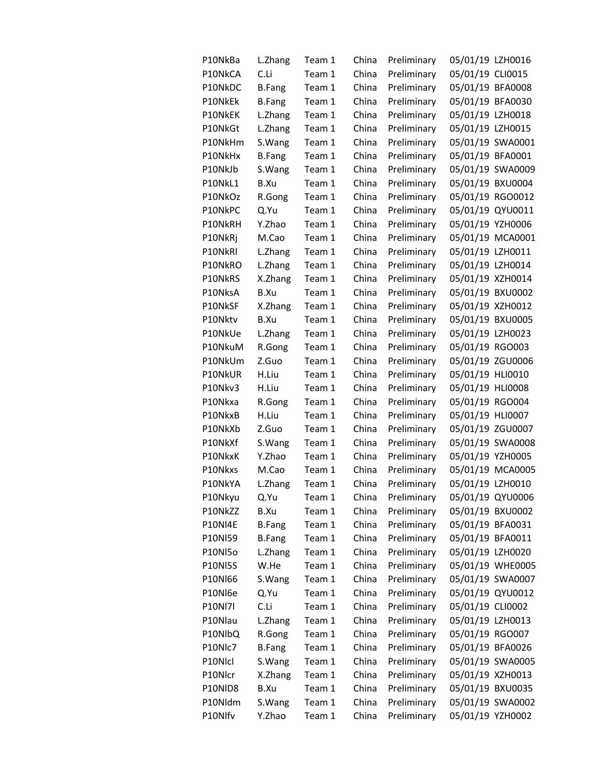| P10NkBa        | L.Zhang       | Team 1 | China | Preliminary | 05/01/19 LZH0016 |                  |
|----------------|---------------|--------|-------|-------------|------------------|------------------|
| P10NkCA        | C.Li          | Team 1 | China | Preliminary | 05/01/19 CLI0015 |                  |
| P10NkDC        | <b>B.Fang</b> | Team 1 | China | Preliminary | 05/01/19 BFA0008 |                  |
| P10NkEk        | <b>B.Fang</b> | Team 1 | China | Preliminary | 05/01/19 BFA0030 |                  |
| P10NkEK        | L.Zhang       | Team 1 | China | Preliminary | 05/01/19 LZH0018 |                  |
| P10NkGt        | L.Zhang       | Team 1 | China | Preliminary | 05/01/19 LZH0015 |                  |
| P10NkHm        | S. Wang       | Team 1 | China | Preliminary |                  | 05/01/19 SWA0001 |
| P10NkHx        | <b>B.Fang</b> | Team 1 | China | Preliminary | 05/01/19 BFA0001 |                  |
| P10NkJb        | S.Wang        | Team 1 | China | Preliminary |                  | 05/01/19 SWA0009 |
| P10NkL1        | B.Xu          | Team 1 | China | Preliminary |                  | 05/01/19 BXU0004 |
| P10NkOz        | R.Gong        | Team 1 | China | Preliminary |                  | 05/01/19 RGO0012 |
| P10NkPC        | Q.Yu          | Team 1 | China | Preliminary |                  | 05/01/19 QYU0011 |
| P10NkRH        | Y.Zhao        | Team 1 | China | Preliminary | 05/01/19 YZH0006 |                  |
| P10NkRj        | M.Cao         | Team 1 | China | Preliminary |                  | 05/01/19 MCA0001 |
| P10NkRI        | L.Zhang       | Team 1 | China | Preliminary | 05/01/19 LZH0011 |                  |
| P10NkRO        | L.Zhang       | Team 1 | China | Preliminary | 05/01/19 LZH0014 |                  |
| P10NkRS        | X.Zhang       | Team 1 | China | Preliminary | 05/01/19 XZH0014 |                  |
| P10NksA        | B.Xu          | Team 1 | China | Preliminary |                  | 05/01/19 BXU0002 |
| P10NkSF        | X.Zhang       | Team 1 | China | Preliminary | 05/01/19 XZH0012 |                  |
| P10Nktv        | B.Xu          | Team 1 | China | Preliminary |                  | 05/01/19 BXU0005 |
| P10NkUe        | L.Zhang       | Team 1 | China | Preliminary | 05/01/19 LZH0023 |                  |
| P10NkuM        | R.Gong        | Team 1 | China | Preliminary | 05/01/19 RGO003  |                  |
| P10NkUm        | Z.Guo         | Team 1 | China | Preliminary |                  | 05/01/19 ZGU0006 |
| P10NkUR        | H.Liu         | Team 1 | China | Preliminary | 05/01/19 HLI0010 |                  |
| P10Nkv3        | H.Liu         | Team 1 | China | Preliminary | 05/01/19 HLI0008 |                  |
| P10Nkxa        | R.Gong        | Team 1 | China | Preliminary | 05/01/19 RGO004  |                  |
| P10NkxB        | H.Liu         | Team 1 | China | Preliminary | 05/01/19 HLI0007 |                  |
| P10NkXb        | Z.Guo         | Team 1 | China | Preliminary |                  | 05/01/19 ZGU0007 |
| P10NkXf        | S.Wang        | Team 1 | China | Preliminary |                  | 05/01/19 SWA0008 |
| P10NkxK        | Y.Zhao        | Team 1 | China | Preliminary | 05/01/19 YZH0005 |                  |
| P10Nkxs        | M.Cao         | Team 1 | China | Preliminary |                  | 05/01/19 MCA0005 |
| P10NkYA        | L.Zhang       | Team 1 | China | Preliminary | 05/01/19 LZH0010 |                  |
| P10Nkyu        | Q.Yu          | Team 1 | China | Preliminary |                  | 05/01/19 QYU0006 |
| P10NkZZ        | B.Xu          | Team 1 | China | Preliminary |                  | 05/01/19 BXU0002 |
| P10NI4E        | <b>B.Fang</b> | Team 1 | China | Preliminary | 05/01/19 BFA0031 |                  |
| P10NI59        | <b>B.Fang</b> | Team 1 | China | Preliminary | 05/01/19 BFA0011 |                  |
| <b>P10NI5o</b> | L.Zhang       | Team 1 | China | Preliminary | 05/01/19 LZH0020 |                  |
| <b>P10NI5S</b> | W.He          | Team 1 | China | Preliminary |                  | 05/01/19 WHE0005 |
| P10NI66        | S.Wang        | Team 1 | China | Preliminary |                  | 05/01/19 SWA0007 |
| P10Nl6e        | Q.Yu          | Team 1 | China | Preliminary |                  | 05/01/19 QYU0012 |
| <b>P10N171</b> | C.Li          | Team 1 | China | Preliminary | 05/01/19 CLI0002 |                  |
| P10Nlau        | L.Zhang       | Team 1 | China | Preliminary | 05/01/19 LZH0013 |                  |
| P10NlbQ        | R.Gong        | Team 1 | China | Preliminary | 05/01/19 RGO007  |                  |
| P10Nlc7        | <b>B.Fang</b> | Team 1 | China | Preliminary | 05/01/19 BFA0026 |                  |
| P10Nlcl        | S.Wang        | Team 1 | China | Preliminary |                  | 05/01/19 SWA0005 |
| P10Nlcr        | X.Zhang       | Team 1 | China | Preliminary | 05/01/19 XZH0013 |                  |
| P10NID8        | B.Xu          | Team 1 | China | Preliminary |                  | 05/01/19 BXU0035 |
| P10Nldm        | S.Wang        | Team 1 | China | Preliminary |                  | 05/01/19 SWA0002 |
| P10Nlfv        | Y.Zhao        | Team 1 | China | Preliminary | 05/01/19 YZH0002 |                  |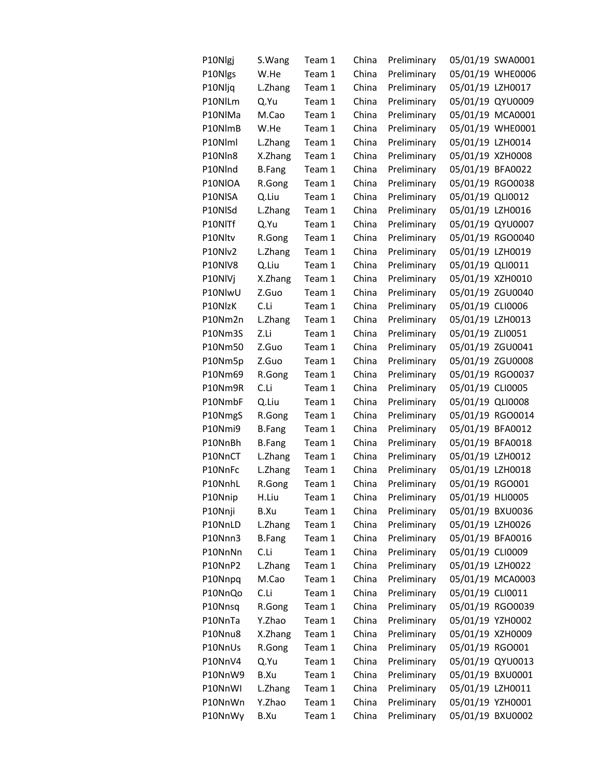| P10Nlgj | S.Wang        | Team 1 | China | Preliminary |                  | 05/01/19 SWA0001 |
|---------|---------------|--------|-------|-------------|------------------|------------------|
| P10Nlgs | W.He          | Team 1 | China | Preliminary |                  | 05/01/19 WHE0006 |
| P10Nljq | L.Zhang       | Team 1 | China | Preliminary | 05/01/19 LZH0017 |                  |
| P10NlLm | Q.Yu          | Team 1 | China | Preliminary |                  | 05/01/19 QYU0009 |
| P10NlMa | M.Cao         | Team 1 | China | Preliminary |                  | 05/01/19 MCA0001 |
| P10NlmB | W.He          | Team 1 | China | Preliminary |                  | 05/01/19 WHE0001 |
| P10Nlml | L.Zhang       | Team 1 | China | Preliminary | 05/01/19 LZH0014 |                  |
| P10Nln8 | X.Zhang       | Team 1 | China | Preliminary | 05/01/19 XZH0008 |                  |
| P10Nlnd | <b>B.Fang</b> | Team 1 | China | Preliminary | 05/01/19 BFA0022 |                  |
| P10NIOA | R.Gong        | Team 1 | China | Preliminary |                  | 05/01/19 RGO0038 |
| P10NISA | Q.Liu         | Team 1 | China | Preliminary | 05/01/19 QLI0012 |                  |
| P10NISd | L.Zhang       | Team 1 | China | Preliminary | 05/01/19 LZH0016 |                  |
| P10NITf | Q.Yu          | Team 1 | China | Preliminary |                  | 05/01/19 QYU0007 |
| P10Nltv | R.Gong        | Team 1 | China | Preliminary |                  | 05/01/19 RGO0040 |
| P10Nlv2 | L.Zhang       | Team 1 | China | Preliminary | 05/01/19 LZH0019 |                  |
| P10NIV8 | Q.Liu         | Team 1 | China | Preliminary | 05/01/19 QLI0011 |                  |
| P10NIVj | X.Zhang       | Team 1 | China | Preliminary | 05/01/19 XZH0010 |                  |
| P10NlwU | Z.Guo         | Team 1 | China | Preliminary |                  | 05/01/19 ZGU0040 |
| P10NlzK | C.Li          | Team 1 | China | Preliminary | 05/01/19 CLI0006 |                  |
| P10Nm2n | L.Zhang       | Team 1 | China | Preliminary | 05/01/19 LZH0013 |                  |
| P10Nm3S | Z.Li          | Team 1 | China | Preliminary | 05/01/19 ZLI0051 |                  |
| P10Nm50 | Z.Guo         | Team 1 | China | Preliminary |                  | 05/01/19 ZGU0041 |
| P10Nm5p | Z.Guo         | Team 1 | China | Preliminary |                  | 05/01/19 ZGU0008 |
| P10Nm69 | R.Gong        | Team 1 | China | Preliminary |                  | 05/01/19 RGO0037 |
| P10Nm9R | C.Li          | Team 1 | China | Preliminary | 05/01/19 CLI0005 |                  |
| P10NmbF | Q.Liu         | Team 1 | China | Preliminary | 05/01/19 QLI0008 |                  |
| P10NmgS | R.Gong        | Team 1 | China | Preliminary |                  | 05/01/19 RGO0014 |
| P10Nmi9 | <b>B.Fang</b> | Team 1 | China | Preliminary | 05/01/19 BFA0012 |                  |
| P10NnBh | <b>B.Fang</b> | Team 1 | China | Preliminary | 05/01/19 BFA0018 |                  |
| P10NnCT | L.Zhang       | Team 1 | China | Preliminary | 05/01/19 LZH0012 |                  |
| P10NnFc | L.Zhang       | Team 1 | China | Preliminary | 05/01/19 LZH0018 |                  |
| P10NnhL | R.Gong        | Team 1 | China | Preliminary | 05/01/19 RGO001  |                  |
| P10Nnip | H.Liu         | Team 1 | China | Preliminary | 05/01/19 HLI0005 |                  |
| P10Nnji | B.Xu          | Team 1 | China | Preliminary |                  | 05/01/19 BXU0036 |
| P10NnLD | L.Zhang       | Team 1 | China | Preliminary | 05/01/19 LZH0026 |                  |
| P10Nnn3 | <b>B.Fang</b> | Team 1 | China | Preliminary | 05/01/19 BFA0016 |                  |
| P10NnNn | C.Li          | Team 1 | China | Preliminary | 05/01/19 CLI0009 |                  |
| P10NnP2 | L.Zhang       | Team 1 | China | Preliminary | 05/01/19 LZH0022 |                  |
| P10Nnpq | M.Cao         | Team 1 | China | Preliminary |                  | 05/01/19 MCA0003 |
| P10NnQo | C.Li          | Team 1 | China | Preliminary | 05/01/19 CLI0011 |                  |
| P10Nnsq | R.Gong        | Team 1 | China | Preliminary |                  | 05/01/19 RGO0039 |
| P10NnTa | Y.Zhao        | Team 1 | China | Preliminary | 05/01/19 YZH0002 |                  |
| P10Nnu8 | X.Zhang       | Team 1 | China | Preliminary | 05/01/19 XZH0009 |                  |
| P10NnUs | R.Gong        | Team 1 | China | Preliminary | 05/01/19 RGO001  |                  |
| P10NnV4 | Q.Yu          | Team 1 | China | Preliminary |                  | 05/01/19 QYU0013 |
| P10NnW9 | B.Xu          | Team 1 | China | Preliminary |                  | 05/01/19 BXU0001 |
| P10NnWI | L.Zhang       | Team 1 | China | Preliminary | 05/01/19 LZH0011 |                  |
| P10NnWn | Y.Zhao        | Team 1 | China | Preliminary | 05/01/19 YZH0001 |                  |
| P10NnWy | B.Xu          | Team 1 | China | Preliminary |                  | 05/01/19 BXU0002 |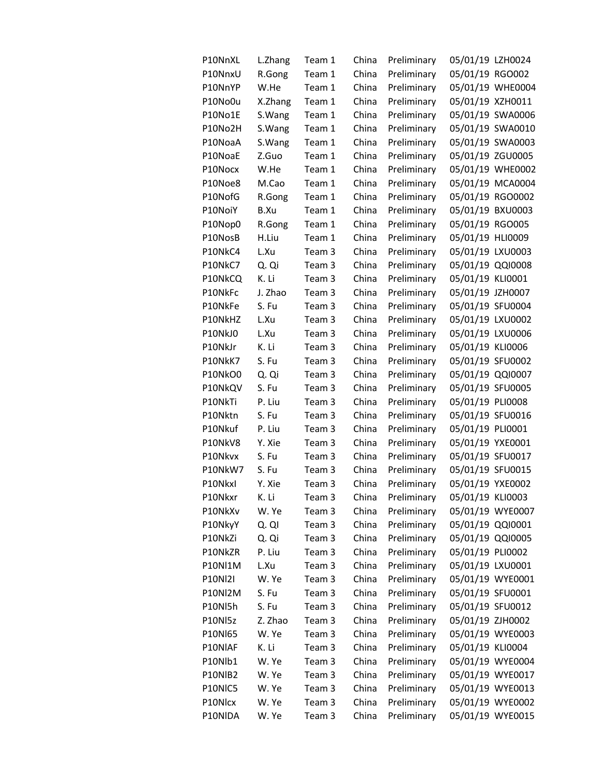| P10NnXL        | L.Zhang | Team 1 | China | Preliminary | 05/01/19 LZH0024 |                  |
|----------------|---------|--------|-------|-------------|------------------|------------------|
| P10NnxU        | R.Gong  | Team 1 | China | Preliminary | 05/01/19 RGO002  |                  |
| P10NnYP        | W.He    | Team 1 | China | Preliminary |                  | 05/01/19 WHE0004 |
| P10No0u        | X.Zhang | Team 1 | China | Preliminary |                  | 05/01/19 XZH0011 |
| P10No1E        | S.Wang  | Team 1 | China | Preliminary |                  | 05/01/19 SWA0006 |
| P10No2H        | S.Wang  | Team 1 | China | Preliminary |                  | 05/01/19 SWA0010 |
| P10NoaA        | S.Wang  | Team 1 | China | Preliminary |                  | 05/01/19 SWA0003 |
| P10NoaE        | Z.Guo   | Team 1 | China | Preliminary |                  | 05/01/19 ZGU0005 |
| P10Nocx        | W.He    | Team 1 | China | Preliminary |                  | 05/01/19 WHE0002 |
| P10Noe8        | M.Cao   | Team 1 | China | Preliminary |                  | 05/01/19 MCA0004 |
| P10NofG        | R.Gong  | Team 1 | China | Preliminary |                  | 05/01/19 RGO0002 |
| P10NoiY        | B.Xu    | Team 1 | China | Preliminary |                  | 05/01/19 BXU0003 |
| P10Nop0        | R.Gong  | Team 1 | China | Preliminary | 05/01/19 RGO005  |                  |
| P10NosB        | H.Liu   | Team 1 | China | Preliminary | 05/01/19 HLI0009 |                  |
| P10NkC4        | L.Xu    | Team 3 | China | Preliminary | 05/01/19 LXU0003 |                  |
| P10NkC7        | Q. Qi   | Team 3 | China | Preliminary | 05/01/19 QQI0008 |                  |
| P10NkCQ        | K. Li   | Team 3 | China | Preliminary | 05/01/19 KLI0001 |                  |
| P10NkFc        | J. Zhao | Team 3 | China | Preliminary | 05/01/19 JZH0007 |                  |
| P10NkFe        | S. Fu   | Team 3 | China | Preliminary | 05/01/19 SFU0004 |                  |
| P10NkHZ        | L.Xu    | Team 3 | China | Preliminary | 05/01/19 LXU0002 |                  |
| P10NkJ0        | L.Xu    | Team 3 | China | Preliminary | 05/01/19 LXU0006 |                  |
| P10NkJr        | K. Li   | Team 3 | China | Preliminary | 05/01/19 KLI0006 |                  |
| P10NkK7        | S. Fu   | Team 3 | China | Preliminary | 05/01/19 SFU0002 |                  |
| P10NkO0        | Q. Qi   | Team 3 | China | Preliminary | 05/01/19 QQI0007 |                  |
| P10NkQV        | S. Fu   | Team 3 | China | Preliminary | 05/01/19 SFU0005 |                  |
| P10NkTi        | P. Liu  | Team 3 | China | Preliminary | 05/01/19 PLI0008 |                  |
| P10Nktn        | S. Fu   | Team 3 | China | Preliminary | 05/01/19 SFU0016 |                  |
| P10Nkuf        | P. Liu  | Team 3 | China | Preliminary | 05/01/19 PLI0001 |                  |
| P10NkV8        | Y. Xie  | Team 3 | China | Preliminary | 05/01/19 YXE0001 |                  |
| P10Nkvx        | S. Fu   | Team 3 | China | Preliminary | 05/01/19 SFU0017 |                  |
| P10NkW7        | S. Fu   | Team 3 | China | Preliminary | 05/01/19 SFU0015 |                  |
| P10Nkxl        | Y. Xie  | Team 3 | China | Preliminary | 05/01/19 YXE0002 |                  |
| P10Nkxr        | K. Li   | Team 3 | China | Preliminary | 05/01/19 KLI0003 |                  |
| P10NkXv        | W. Ye   | Team 3 | China | Preliminary |                  | 05/01/19 WYE0007 |
| P10NkyY        | Q. QI   | Team 3 | China | Preliminary | 05/01/19 QQI0001 |                  |
| P10NkZi        | Q. Qi   | Team 3 | China | Preliminary | 05/01/19 QQI0005 |                  |
| P10NkZR        | P. Liu  | Team 3 | China | Preliminary | 05/01/19 PLI0002 |                  |
| P10NI1M        | L.Xu    | Team 3 | China | Preliminary | 05/01/19 LXU0001 |                  |
| <b>P10NI2I</b> | W. Ye   | Team 3 | China | Preliminary |                  | 05/01/19 WYE0001 |
| P10Nl2M        | S. Fu   | Team 3 | China | Preliminary | 05/01/19 SFU0001 |                  |
| P10NI5h        | S. Fu   | Team 3 | China | Preliminary | 05/01/19 SFU0012 |                  |
| <b>P10NI5z</b> | Z. Zhao | Team 3 | China | Preliminary | 05/01/19 ZJH0002 |                  |
| <b>P10NI65</b> | W. Ye   | Team 3 | China | Preliminary |                  | 05/01/19 WYE0003 |
| P10NIAF        | K. Li   | Team 3 | China | Preliminary | 05/01/19 KLI0004 |                  |
| P10Nlb1        | W. Ye   | Team 3 | China | Preliminary |                  | 05/01/19 WYE0004 |
| P10NIB2        | W. Ye   | Team 3 | China | Preliminary |                  | 05/01/19 WYE0017 |
| P10NIC5        | W. Ye   | Team 3 | China | Preliminary |                  | 05/01/19 WYE0013 |
| P10Nlcx        | W. Ye   | Team 3 | China | Preliminary |                  | 05/01/19 WYE0002 |
| P10NIDA        | W. Ye   | Team 3 | China | Preliminary |                  | 05/01/19 WYE0015 |